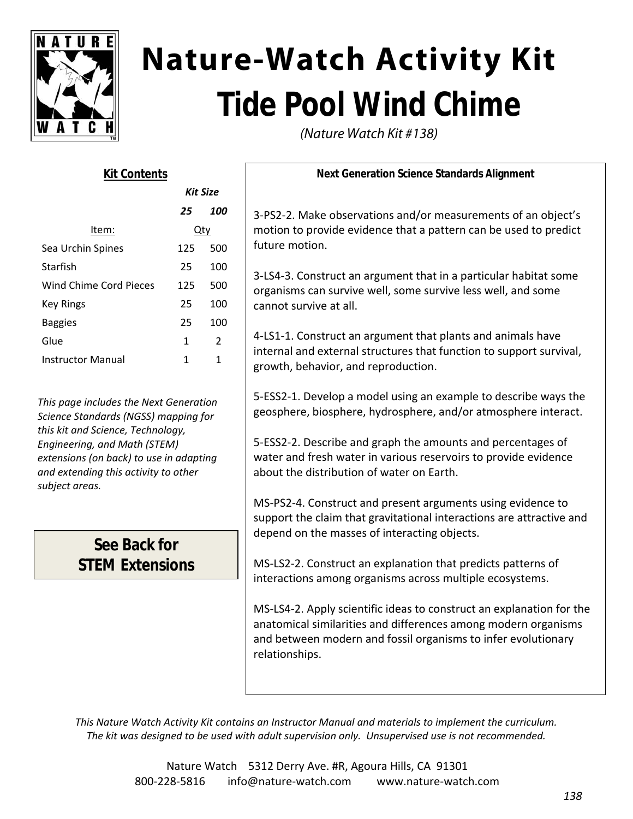

# **Nature-Watch Activity Kit Tide Pool Wind Chime**

(Nature Watch Kit #138)

| <b>Kit Contents</b>      |                 |     |
|--------------------------|-----------------|-----|
|                          | <b>Kit Size</b> |     |
|                          | 25              | 100 |
| ltem:                    | Qty             |     |
| Sea Urchin Spines        | 125             | 500 |
| Starfish                 | 25              | 100 |
| Wind Chime Cord Pieces   | 125             | 500 |
| Key Rings                | 25              | 100 |
| <b>Baggies</b>           | 25              | 100 |
| Glue                     | 1               | 2   |
| <b>Instructor Manual</b> | 1               | 1   |

*This page includes the Next Generation Science Standards (NGSS) mapping for this kit and Science, Technology, Engineering, and Math (STEM) extensions (on back) to use in adapting and extending this activity to other subject areas.*

## **See Back for STEM Extensions**

**Next Generation Science Standards Alignment**

3‐PS2‐2. Make observations and/or measurements of an object's motion to provide evidence that a pattern can be used to predict future motion.

3‐LS4‐3. Construct an argument that in a particular habitat some organisms can survive well, some survive less well, and some cannot survive at all.

4‐LS1‐1. Construct an argument that plants and animals have internal and external structures that function to support survival, growth, behavior, and reproduction.

5‐ESS2‐1. Develop a model using an example to describe ways the geosphere, biosphere, hydrosphere, and/or atmosphere interact.

5‐ESS2‐2. Describe and graph the amounts and percentages of water and fresh water in various reservoirs to provide evidence about the distribution of water on Earth.

MS‐PS2‐4. Construct and present arguments using evidence to support the claim that gravitational interactions are attractive and depend on the masses of interacting objects.

MS‐LS2‐2. Construct an explanation that predicts patterns of interactions among organisms across multiple ecosystems.

MS‐LS4‐2. Apply scientific ideas to construct an explanation for the anatomical similarities and differences among modern organisms and between modern and fossil organisms to infer evolutionary relationships.

*This Nature Watch Activity Kit contains an Instructor Manual and materials to implement the curriculum. The kit was designed to be used with adult supervision only. Unsupervised use is not recommended.*